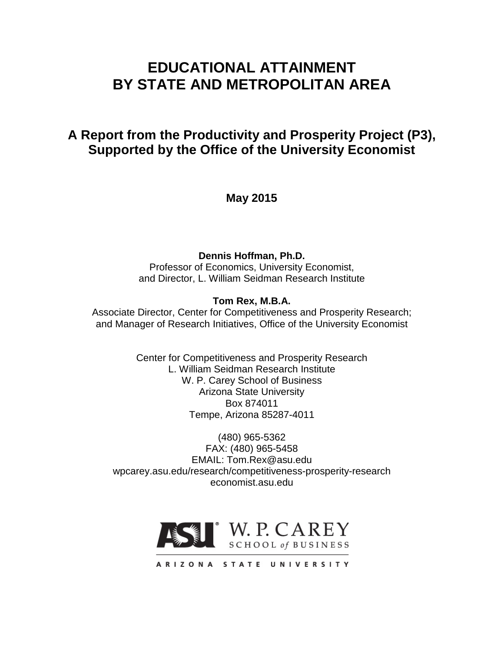# **EDUCATIONAL ATTAINMENT BY STATE AND METROPOLITAN AREA**

# **A Report from the Productivity and Prosperity Project (P3), Supported by the Office of the University Economist**

**May 2015**

**Dennis Hoffman, Ph.D.**

Professor of Economics, University Economist, and Director, L. William Seidman Research Institute

## **Tom Rex, M.B.A.**

Associate Director, Center for Competitiveness and Prosperity Research; and Manager of Research Initiatives, Office of the University Economist

> Center for Competitiveness and Prosperity Research L. William Seidman Research Institute W. P. Carey School of Business Arizona State University Box 874011 Tempe, Arizona 85287-4011

(480) 965-5362 FAX: (480) 965-5458 EMAIL: Tom.Rex@asu.edu wpcarey.asu.edu/research/competitiveness-prosperity-research economist.asu.edu



ARIZONA STATE UNIVERSITY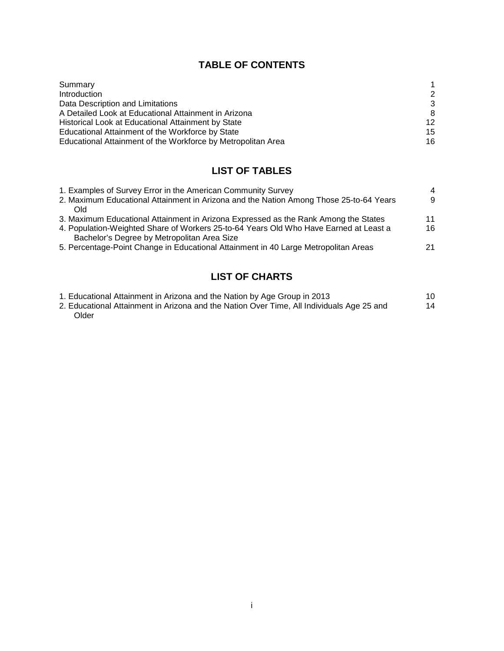## **TABLE OF CONTENTS**

| Summary                                                      |    |
|--------------------------------------------------------------|----|
| Introduction                                                 | 2  |
| Data Description and Limitations                             | 3  |
| A Detailed Look at Educational Attainment in Arizona         | 8  |
| Historical Look at Educational Attainment by State           | 12 |
| Educational Attainment of the Workforce by State             | 15 |
| Educational Attainment of the Workforce by Metropolitan Area | 16 |

# **LIST OF TABLES**

| 1. Examples of Survey Error in the American Community Survey                           | 4  |
|----------------------------------------------------------------------------------------|----|
| 2. Maximum Educational Attainment in Arizona and the Nation Among Those 25-to-64 Years | 9  |
| Old                                                                                    |    |
| 3. Maximum Educational Attainment in Arizona Expressed as the Rank Among the States    | 11 |
| 4. Population-Weighted Share of Workers 25-to-64 Years Old Who Have Earned at Least a  | 16 |
| Bachelor's Degree by Metropolitan Area Size                                            |    |
| 5. Percentage-Point Change in Educational Attainment in 40 Large Metropolitan Areas    | 21 |
|                                                                                        |    |

# **LIST OF CHARTS**

| 1. Educational Attainment in Arizona and the Nation by Age Group in 2013                  |    |
|-------------------------------------------------------------------------------------------|----|
| 2. Educational Attainment in Arizona and the Nation Over Time, All Individuals Age 25 and | 14 |
| Older                                                                                     |    |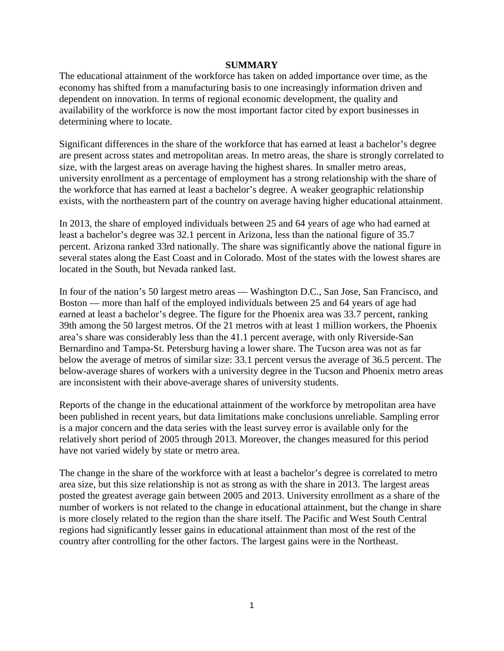#### **SUMMARY**

The educational attainment of the workforce has taken on added importance over time, as the economy has shifted from a manufacturing basis to one increasingly information driven and dependent on innovation. In terms of regional economic development, the quality and availability of the workforce is now the most important factor cited by export businesses in determining where to locate.

Significant differences in the share of the workforce that has earned at least a bachelor's degree are present across states and metropolitan areas. In metro areas, the share is strongly correlated to size, with the largest areas on average having the highest shares. In smaller metro areas, university enrollment as a percentage of employment has a strong relationship with the share of the workforce that has earned at least a bachelor's degree. A weaker geographic relationship exists, with the northeastern part of the country on average having higher educational attainment.

In 2013, the share of employed individuals between 25 and 64 years of age who had earned at least a bachelor's degree was 32.1 percent in Arizona, less than the national figure of 35.7 percent. Arizona ranked 33rd nationally. The share was significantly above the national figure in several states along the East Coast and in Colorado. Most of the states with the lowest shares are located in the South, but Nevada ranked last.

In four of the nation's 50 largest metro areas — Washington D.C., San Jose, San Francisco, and Boston — more than half of the employed individuals between 25 and 64 years of age had earned at least a bachelor's degree. The figure for the Phoenix area was 33.7 percent, ranking 39th among the 50 largest metros. Of the 21 metros with at least 1 million workers, the Phoenix area's share was considerably less than the 41.1 percent average, with only Riverside-San Bernardino and Tampa-St. Petersburg having a lower share. The Tucson area was not as far below the average of metros of similar size: 33.1 percent versus the average of 36.5 percent. The below-average shares of workers with a university degree in the Tucson and Phoenix metro areas are inconsistent with their above-average shares of university students.

Reports of the change in the educational attainment of the workforce by metropolitan area have been published in recent years, but data limitations make conclusions unreliable. Sampling error is a major concern and the data series with the least survey error is available only for the relatively short period of 2005 through 2013. Moreover, the changes measured for this period have not varied widely by state or metro area.

The change in the share of the workforce with at least a bachelor's degree is correlated to metro area size, but this size relationship is not as strong as with the share in 2013. The largest areas posted the greatest average gain between 2005 and 2013. University enrollment as a share of the number of workers is not related to the change in educational attainment, but the change in share is more closely related to the region than the share itself. The Pacific and West South Central regions had significantly lesser gains in educational attainment than most of the rest of the country after controlling for the other factors. The largest gains were in the Northeast.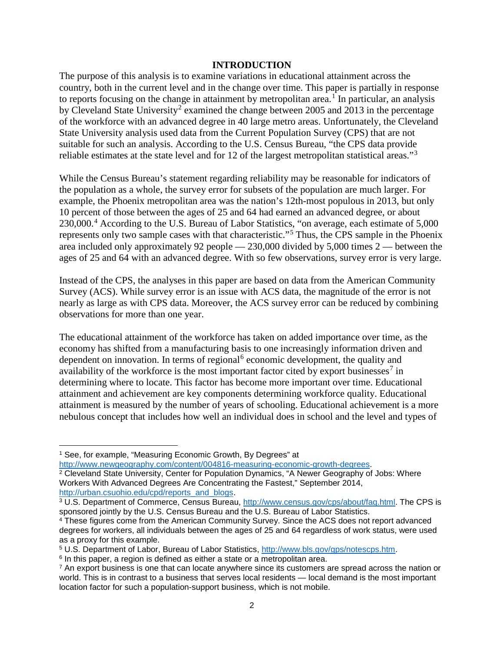#### **INTRODUCTION**

The purpose of this analysis is to examine variations in educational attainment across the country, both in the current level and in the change over time. This paper is partially in response to reports focusing on the change in attainment by metropolitan area.<sup>[1](#page-3-0)</sup> In particular, an analysis by Cleveland State University<sup>[2](#page-3-1)</sup> examined the change between 2005 and 2013 in the percentage of the workforce with an advanced degree in 40 large metro areas. Unfortunately, the Cleveland State University analysis used data from the Current Population Survey (CPS) that are not suitable for such an analysis. According to the U.S. Census Bureau, "the CPS data provide reliable estimates at the state level and for 12 of the largest metropolitan statistical areas."[3](#page-3-2)

While the Census Bureau's statement regarding reliability may be reasonable for indicators of the population as a whole, the survey error for subsets of the population are much larger. For example, the Phoenix metropolitan area was the nation's 12th-most populous in 2013, but only 10 percent of those between the ages of 25 and 64 had earned an advanced degree, or about 230,000.<sup>[4](#page-3-3)</sup> According to the U.S. Bureau of Labor Statistics, "on average, each estimate of 5,000 represents only two sample cases with that characteristic."[5](#page-3-4) Thus, the CPS sample in the Phoenix area included only approximately 92 people — 230,000 divided by 5,000 times 2 — between the ages of 25 and 64 with an advanced degree. With so few observations, survey error is very large.

Instead of the CPS, the analyses in this paper are based on data from the American Community Survey (ACS). While survey error is an issue with ACS data, the magnitude of the error is not nearly as large as with CPS data. Moreover, the ACS survey error can be reduced by combining observations for more than one year.

The educational attainment of the workforce has taken on added importance over time, as the economy has shifted from a manufacturing basis to one increasingly information driven and dependent on innovation. In terms of regional<sup>[6](#page-3-5)</sup> economic development, the quality and availability of the workforce is the most important factor cited by export businesses<sup>[7](#page-3-6)</sup> in determining where to locate. This factor has become more important over time. Educational attainment and achievement are key components determining workforce quality. Educational attainment is measured by the number of years of schooling. Educational achievement is a more nebulous concept that includes how well an individual does in school and the level and types of

 $\overline{\phantom{a}}$ 

<span id="page-3-1"></span><sup>2</sup> Cleveland State University, Center for Population Dynamics, "A Newer Geography of Jobs: Where Workers With Advanced Degrees Are Concentrating the Fastest," September 2014, [http://urban.csuohio.edu/cpd/reports\\_and\\_blogs.](http://urban.csuohio.edu/cpd/reports_and_blogs)

<span id="page-3-0"></span><sup>&</sup>lt;sup>1</sup> See, for example, "Measuring Economic Growth, By Degrees" at [http://www.newgeography.com/content/004816-measuring-economic-growth-degrees.](http://www.newgeography.com/content/004816-measuring-economic-growth-degrees)

<span id="page-3-2"></span><sup>&</sup>lt;sup>3</sup> U.S. Department of Commerce, Census Bureau, [http://www.census.gov/cps/about/faq.html.](http://www.census.gov/cps/about/faq.html) The CPS is sponsored jointly by the U.S. Census Bureau and the U.S. Bureau of Labor Statistics.

<span id="page-3-3"></span><sup>4</sup> These figures come from the American Community Survey. Since the ACS does not report advanced degrees for workers, all individuals between the ages of 25 and 64 regardless of work status, were used as a proxy for this example.

<span id="page-3-4"></span><sup>5</sup> U.S. Department of Labor, Bureau of Labor Statistics, [http://www.bls.gov/gps/notescps.htm.](http://www.bls.gov/gps/notescps.htm)

<span id="page-3-5"></span><sup>&</sup>lt;sup>6</sup> In this paper, a region is defined as either a state or a metropolitan area.

<span id="page-3-6"></span> $7$  An export business is one that can locate anywhere since its customers are spread across the nation or world. This is in contrast to a business that serves local residents — local demand is the most important location factor for such a population-support business, which is not mobile.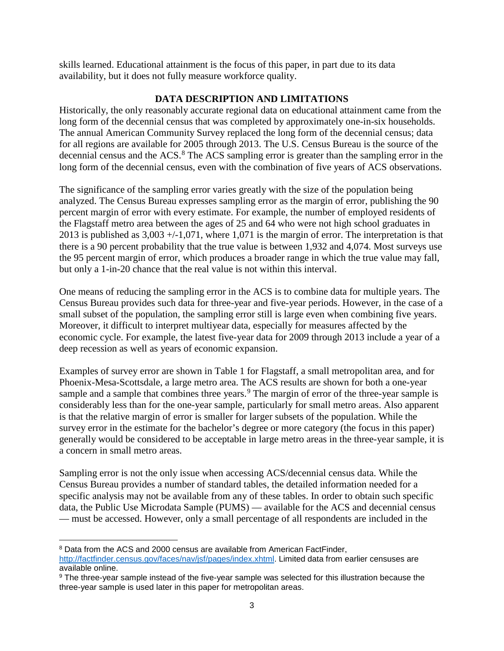skills learned. Educational attainment is the focus of this paper, in part due to its data availability, but it does not fully measure workforce quality.

## **DATA DESCRIPTION AND LIMITATIONS**

Historically, the only reasonably accurate regional data on educational attainment came from the long form of the decennial census that was completed by approximately one-in-six households. The annual American Community Survey replaced the long form of the decennial census; data for all regions are available for 2005 through 2013. The U.S. Census Bureau is the source of the decennial census and the ACS.<sup>[8](#page-4-0)</sup> The ACS sampling error is greater than the sampling error in the long form of the decennial census, even with the combination of five years of ACS observations.

The significance of the sampling error varies greatly with the size of the population being analyzed. The Census Bureau expresses sampling error as the margin of error, publishing the 90 percent margin of error with every estimate. For example, the number of employed residents of the Flagstaff metro area between the ages of 25 and 64 who were not high school graduates in 2013 is published as  $3,003 + (-1,071)$ , where 1,071 is the margin of error. The interpretation is that there is a 90 percent probability that the true value is between 1,932 and 4,074. Most surveys use the 95 percent margin of error, which produces a broader range in which the true value may fall, but only a 1-in-20 chance that the real value is not within this interval.

One means of reducing the sampling error in the ACS is to combine data for multiple years. The Census Bureau provides such data for three-year and five-year periods. However, in the case of a small subset of the population, the sampling error still is large even when combining five years. Moreover, it difficult to interpret multiyear data, especially for measures affected by the economic cycle. For example, the latest five-year data for 2009 through 2013 include a year of a deep recession as well as years of economic expansion.

Examples of survey error are shown in Table 1 for Flagstaff, a small metropolitan area, and for Phoenix-Mesa-Scottsdale, a large metro area. The ACS results are shown for both a one-year sample and a sample that combines three years.<sup>[9](#page-4-1)</sup> The margin of error of the three-year sample is considerably less than for the one-year sample, particularly for small metro areas. Also apparent is that the relative margin of error is smaller for larger subsets of the population. While the survey error in the estimate for the bachelor's degree or more category (the focus in this paper) generally would be considered to be acceptable in large metro areas in the three-year sample, it is a concern in small metro areas.

Sampling error is not the only issue when accessing ACS/decennial census data. While the Census Bureau provides a number of standard tables, the detailed information needed for a specific analysis may not be available from any of these tables. In order to obtain such specific data, the Public Use Microdata Sample (PUMS) — available for the ACS and decennial census — must be accessed. However, only a small percentage of all respondents are included in the

 $\overline{\phantom{a}}$ 

<span id="page-4-0"></span><sup>&</sup>lt;sup>8</sup> Data from the ACS and 2000 census are available from American FactFinder, [http://factfinder.census.gov/faces/nav/jsf/pages/index.xhtml.](http://factfinder.census.gov/faces/nav/jsf/pages/index.xhtml) Limited data from earlier censuses are available online.

<span id="page-4-1"></span><sup>9</sup> The three-year sample instead of the five-year sample was selected for this illustration because the three-year sample is used later in this paper for metropolitan areas.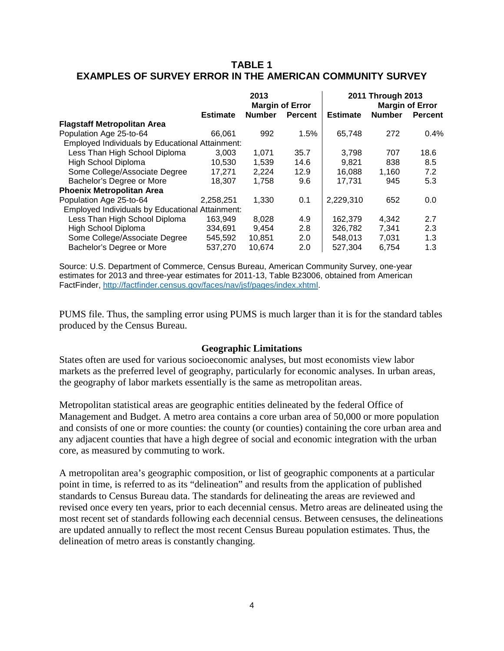## **TABLE 1 EXAMPLES OF SURVEY ERROR IN THE AMERICAN COMMUNITY SURVEY**

|                                                 | 2013<br><b>Margin of Error</b> |               |                | 2011 Through 2013<br><b>Margin of Error</b> |               |                |  |
|-------------------------------------------------|--------------------------------|---------------|----------------|---------------------------------------------|---------------|----------------|--|
|                                                 | <b>Estimate</b>                | <b>Number</b> | <b>Percent</b> | <b>Estimate</b>                             | <b>Number</b> | <b>Percent</b> |  |
| <b>Flagstaff Metropolitan Area</b>              |                                |               |                |                                             |               |                |  |
| Population Age 25-to-64                         | 66.061                         | 992           | 1.5%           | 65,748                                      | 272           | 0.4%           |  |
| Employed Individuals by Educational Attainment: |                                |               |                |                                             |               |                |  |
| Less Than High School Diploma                   | 3.003                          | 1,071         | 35.7           | 3.798                                       | 707           | 18.6           |  |
| High School Diploma                             | 10,530                         | 1.539         | 14.6           | 9.821                                       | 838           | 8.5            |  |
| Some College/Associate Degree                   | 17.271                         | 2,224         | 12.9           | 16,088                                      | 1,160         | 7.2            |  |
| Bachelor's Degree or More                       | 18,307                         | 1,758         | 9.6            | 17,731                                      | 945           | 5.3            |  |
| <b>Phoenix Metropolitan Area</b>                |                                |               |                |                                             |               |                |  |
| Population Age 25-to-64                         | 2,258,251                      | 1,330         | 0.1            | 2,229,310                                   | 652           | 0.0            |  |
| Employed Individuals by Educational Attainment: |                                |               |                |                                             |               |                |  |
| Less Than High School Diploma                   | 163,949                        | 8.028         | 4.9            | 162.379                                     | 4,342         | 2.7            |  |
| High School Diploma                             | 334.691                        | 9.454         | 2.8            | 326,782                                     | 7.341         | 2.3            |  |
| Some College/Associate Degree                   | 545.592                        | 10.851        | 2.0            | 548.013                                     | 7.031         | 1.3            |  |
| Bachelor's Degree or More                       | 537,270                        | 10,674        | 2.0            | 527.304                                     | 6.754         | 1.3            |  |

Source: U.S. Department of Commerce, Census Bureau, American Community Survey, one-year estimates for 2013 and three-year estimates for 2011-13, Table B23006, obtained from American FactFinder, [http://factfinder.census.gov/faces/nav/jsf/pages/index.xhtml.](http://factfinder.census.gov/faces/nav/jsf/pages/index.xhtml)

PUMS file. Thus, the sampling error using PUMS is much larger than it is for the standard tables produced by the Census Bureau.

#### **Geographic Limitations**

States often are used for various socioeconomic analyses, but most economists view labor markets as the preferred level of geography, particularly for economic analyses. In urban areas, the geography of labor markets essentially is the same as metropolitan areas.

Metropolitan statistical areas are geographic entities delineated by the federal Office of Management and Budget. A metro area contains a core urban area of 50,000 or more population and consists of one or more counties: the county (or counties) containing the core urban area and any adjacent counties that have a high degree of social and economic integration with the urban core, as measured by commuting to work.

A metropolitan area's geographic composition, or list of geographic components at a particular point in time, is referred to as its "delineation" and results from the application of published standards to Census Bureau data. The standards for delineating the areas are reviewed and revised once every ten years, prior to each decennial census. Metro areas are delineated using the most recent set of standards following each decennial census. Between censuses, the delineations are updated annually to reflect the most recent Census Bureau population estimates. Thus, the delineation of metro areas is constantly changing.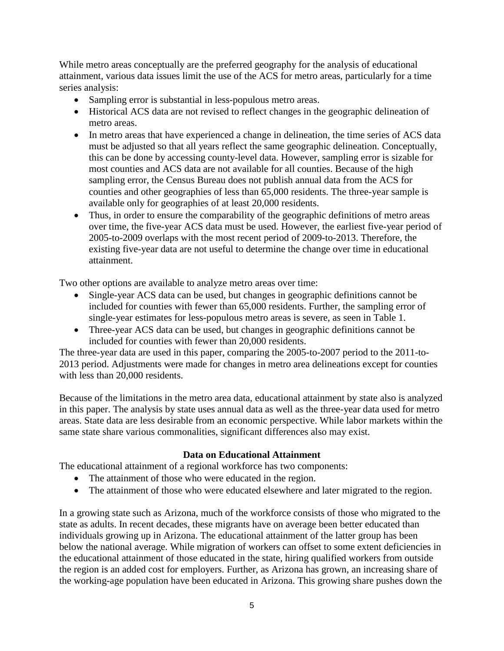While metro areas conceptually are the preferred geography for the analysis of educational attainment, various data issues limit the use of the ACS for metro areas, particularly for a time series analysis:

- Sampling error is substantial in less-populous metro areas.
- Historical ACS data are not revised to reflect changes in the geographic delineation of metro areas.
- In metro areas that have experienced a change in delineation, the time series of ACS data must be adjusted so that all years reflect the same geographic delineation. Conceptually, this can be done by accessing county-level data. However, sampling error is sizable for most counties and ACS data are not available for all counties. Because of the high sampling error, the Census Bureau does not publish annual data from the ACS for counties and other geographies of less than 65,000 residents. The three-year sample is available only for geographies of at least 20,000 residents.
- Thus, in order to ensure the comparability of the geographic definitions of metro areas over time, the five-year ACS data must be used. However, the earliest five-year period of 2005-to-2009 overlaps with the most recent period of 2009-to-2013. Therefore, the existing five-year data are not useful to determine the change over time in educational attainment.

Two other options are available to analyze metro areas over time:

- Single-year ACS data can be used, but changes in geographic definitions cannot be included for counties with fewer than 65,000 residents. Further, the sampling error of single-year estimates for less-populous metro areas is severe, as seen in Table 1.
- Three-year ACS data can be used, but changes in geographic definitions cannot be included for counties with fewer than 20,000 residents.

The three-year data are used in this paper, comparing the 2005-to-2007 period to the 2011-to-2013 period. Adjustments were made for changes in metro area delineations except for counties with less than 20,000 residents.

Because of the limitations in the metro area data, educational attainment by state also is analyzed in this paper. The analysis by state uses annual data as well as the three-year data used for metro areas. State data are less desirable from an economic perspective. While labor markets within the same state share various commonalities, significant differences also may exist.

#### **Data on Educational Attainment**

The educational attainment of a regional workforce has two components:

- The attainment of those who were educated in the region.
- The attainment of those who were educated elsewhere and later migrated to the region.

In a growing state such as Arizona, much of the workforce consists of those who migrated to the state as adults. In recent decades, these migrants have on average been better educated than individuals growing up in Arizona. The educational attainment of the latter group has been below the national average. While migration of workers can offset to some extent deficiencies in the educational attainment of those educated in the state, hiring qualified workers from outside the region is an added cost for employers. Further, as Arizona has grown, an increasing share of the working-age population have been educated in Arizona. This growing share pushes down the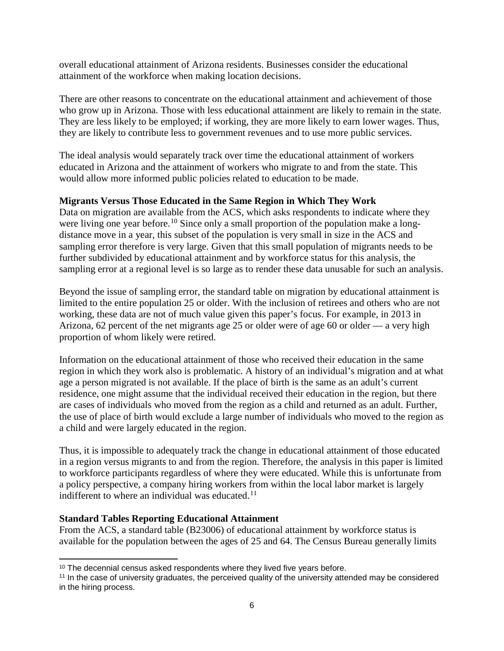overall educational attainment of Arizona residents. Businesses consider the educational attainment of the workforce when making location decisions.

There are other reasons to concentrate on the educational attainment and achievement of those who grow up in Arizona. Those with less educational attainment are likely to remain in the state. They are less likely to be employed; if working, they are more likely to earn lower wages. Thus, they are likely to contribute less to government revenues and to use more public services.

The ideal analysis would separately track over time the educational attainment of workers educated in Arizona and the attainment of workers who migrate to and from the state. This would allow more informed public policies related to education to be made.

### **Migrants Versus Those Educated in the Same Region in Which They Work**

Data on migration are available from the ACS, which asks respondents to indicate where they were living one year before.<sup>[10](#page-7-0)</sup> Since only a small proportion of the population make a longdistance move in a year, this subset of the population is very small in size in the ACS and sampling error therefore is very large. Given that this small population of migrants needs to be further subdivided by educational attainment and by workforce status for this analysis, the sampling error at a regional level is so large as to render these data unusable for such an analysis.

Beyond the issue of sampling error, the standard table on migration by educational attainment is limited to the entire population 25 or older. With the inclusion of retirees and others who are not working, these data are not of much value given this paper's focus. For example, in 2013 in Arizona, 62 percent of the net migrants age 25 or older were of age 60 or older — a very high proportion of whom likely were retired.

Information on the educational attainment of those who received their education in the same region in which they work also is problematic. A history of an individual's migration and at what age a person migrated is not available. If the place of birth is the same as an adult's current residence, one might assume that the individual received their education in the region, but there are cases of individuals who moved from the region as a child and returned as an adult. Further, the use of place of birth would exclude a large number of individuals who moved to the region as a child and were largely educated in the region.

Thus, it is impossible to adequately track the change in educational attainment of those educated in a region versus migrants to and from the region. Therefore, the analysis in this paper is limited to workforce participants regardless of where they were educated. While this is unfortunate from a policy perspective, a company hiring workers from within the local labor market is largely indifferent to where an individual was educated.<sup>[11](#page-7-1)</sup>

#### **Standard Tables Reporting Educational Attainment**

From the ACS, a standard table (B23006) of educational attainment by workforce status is available for the population between the ages of 25 and 64. The Census Bureau generally limits

 $10$  The decennial census asked respondents where they lived five years before.  $\overline{\phantom{a}}$ 

<span id="page-7-1"></span><span id="page-7-0"></span><sup>11</sup> In the case of university graduates, the perceived quality of the university attended may be considered in the hiring process.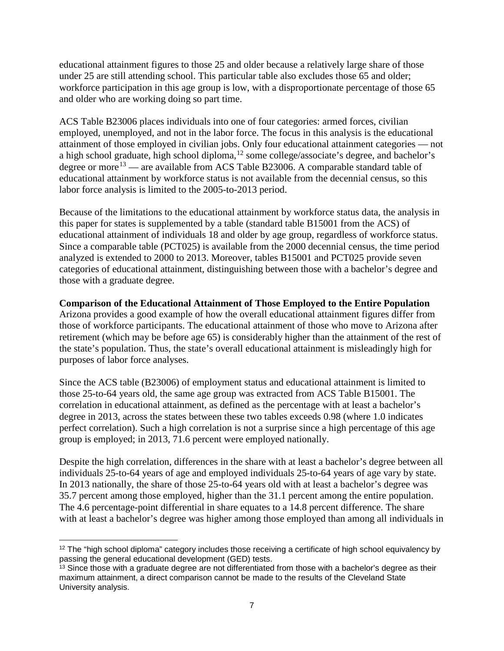educational attainment figures to those 25 and older because a relatively large share of those under 25 are still attending school. This particular table also excludes those 65 and older; workforce participation in this age group is low, with a disproportionate percentage of those 65 and older who are working doing so part time.

ACS Table B23006 places individuals into one of four categories: armed forces, civilian employed, unemployed, and not in the labor force. The focus in this analysis is the educational attainment of those employed in civilian jobs. Only four educational attainment categories — not a high school graduate, high school diploma,<sup>[12](#page-8-0)</sup> some college/associate's degree, and bachelor's degree or more<sup>[13](#page-8-1)</sup> — are available from ACS Table B23006. A comparable standard table of educational attainment by workforce status is not available from the decennial census, so this labor force analysis is limited to the 2005-to-2013 period.

Because of the limitations to the educational attainment by workforce status data, the analysis in this paper for states is supplemented by a table (standard table B15001 from the ACS) of educational attainment of individuals 18 and older by age group, regardless of workforce status. Since a comparable table (PCT025) is available from the 2000 decennial census, the time period analyzed is extended to 2000 to 2013. Moreover, tables B15001 and PCT025 provide seven categories of educational attainment, distinguishing between those with a bachelor's degree and those with a graduate degree.

### **Comparison of the Educational Attainment of Those Employed to the Entire Population**

Arizona provides a good example of how the overall educational attainment figures differ from those of workforce participants. The educational attainment of those who move to Arizona after retirement (which may be before age 65) is considerably higher than the attainment of the rest of the state's population. Thus, the state's overall educational attainment is misleadingly high for purposes of labor force analyses.

Since the ACS table (B23006) of employment status and educational attainment is limited to those 25-to-64 years old, the same age group was extracted from ACS Table B15001. The correlation in educational attainment, as defined as the percentage with at least a bachelor's degree in 2013, across the states between these two tables exceeds 0.98 (where 1.0 indicates perfect correlation). Such a high correlation is not a surprise since a high percentage of this age group is employed; in 2013, 71.6 percent were employed nationally.

Despite the high correlation, differences in the share with at least a bachelor's degree between all individuals 25-to-64 years of age and employed individuals 25-to-64 years of age vary by state. In 2013 nationally, the share of those 25-to-64 years old with at least a bachelor's degree was 35.7 percent among those employed, higher than the 31.1 percent among the entire population. The 4.6 percentage-point differential in share equates to a 14.8 percent difference. The share with at least a bachelor's degree was higher among those employed than among all individuals in

<span id="page-8-0"></span><sup>&</sup>lt;sup>12</sup> The "high school diploma" category includes those receiving a certificate of high school equivalency by passing the general educational development (GED) tests.  $\overline{\phantom{a}}$ 

<span id="page-8-1"></span> $13$  Since those with a graduate degree are not differentiated from those with a bachelor's degree as their maximum attainment, a direct comparison cannot be made to the results of the Cleveland State University analysis.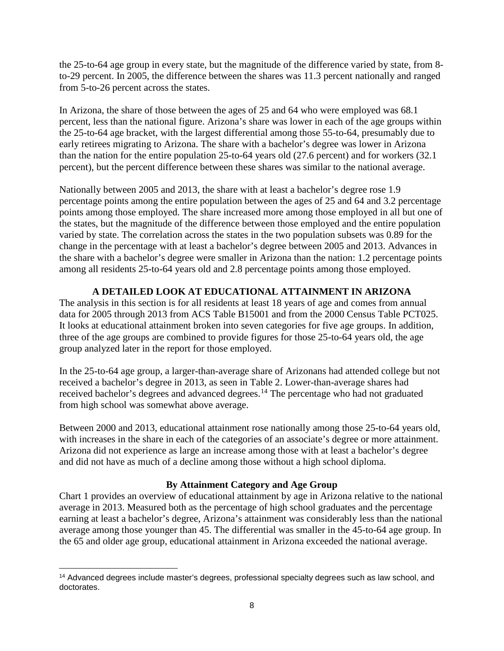the 25-to-64 age group in every state, but the magnitude of the difference varied by state, from 8 to-29 percent. In 2005, the difference between the shares was 11.3 percent nationally and ranged from 5-to-26 percent across the states.

In Arizona, the share of those between the ages of 25 and 64 who were employed was 68.1 percent, less than the national figure. Arizona's share was lower in each of the age groups within the 25-to-64 age bracket, with the largest differential among those 55-to-64, presumably due to early retirees migrating to Arizona. The share with a bachelor's degree was lower in Arizona than the nation for the entire population 25-to-64 years old (27.6 percent) and for workers (32.1 percent), but the percent difference between these shares was similar to the national average.

Nationally between 2005 and 2013, the share with at least a bachelor's degree rose 1.9 percentage points among the entire population between the ages of 25 and 64 and 3.2 percentage points among those employed. The share increased more among those employed in all but one of the states, but the magnitude of the difference between those employed and the entire population varied by state. The correlation across the states in the two population subsets was 0.89 for the change in the percentage with at least a bachelor's degree between 2005 and 2013. Advances in the share with a bachelor's degree were smaller in Arizona than the nation: 1.2 percentage points among all residents 25-to-64 years old and 2.8 percentage points among those employed.

## **A DETAILED LOOK AT EDUCATIONAL ATTAINMENT IN ARIZONA**

The analysis in this section is for all residents at least 18 years of age and comes from annual data for 2005 through 2013 from ACS Table B15001 and from the 2000 Census Table PCT025. It looks at educational attainment broken into seven categories for five age groups. In addition, three of the age groups are combined to provide figures for those 25-to-64 years old, the age group analyzed later in the report for those employed.

In the 25-to-64 age group, a larger-than-average share of Arizonans had attended college but not received a bachelor's degree in 2013, as seen in Table 2. Lower-than-average shares had received bachelor's degrees and advanced degrees.<sup>[14](#page-9-0)</sup> The percentage who had not graduated from high school was somewhat above average.

Between 2000 and 2013, educational attainment rose nationally among those 25-to-64 years old, with increases in the share in each of the categories of an associate's degree or more attainment. Arizona did not experience as large an increase among those with at least a bachelor's degree and did not have as much of a decline among those without a high school diploma.

## **By Attainment Category and Age Group**

Chart 1 provides an overview of educational attainment by age in Arizona relative to the national average in 2013. Measured both as the percentage of high school graduates and the percentage earning at least a bachelor's degree, Arizona's attainment was considerably less than the national average among those younger than 45. The differential was smaller in the 45-to-64 age group. In the 65 and older age group, educational attainment in Arizona exceeded the national average.

<span id="page-9-0"></span><sup>&</sup>lt;sup>14</sup> Advanced degrees include master's degrees, professional specialty degrees such as law school, and doctorates. l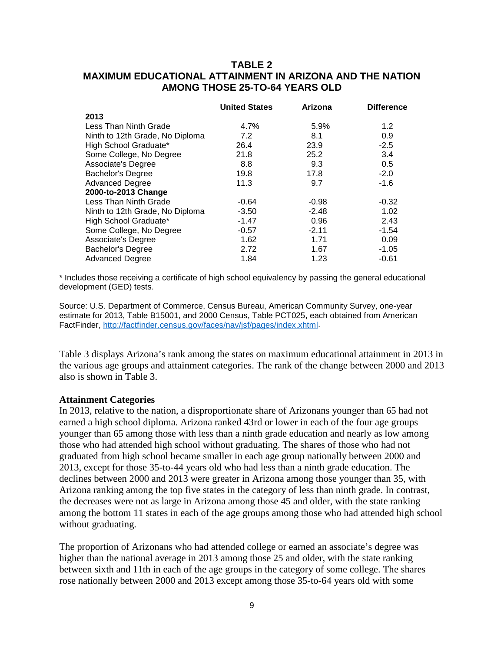## **TABLE 2 MAXIMUM EDUCATIONAL ATTAINMENT IN ARIZONA AND THE NATION AMONG THOSE 25-TO-64 YEARS OLD**

|                                 | <b>United States</b> | Arizona | <b>Difference</b> |
|---------------------------------|----------------------|---------|-------------------|
| 2013                            |                      |         |                   |
| Less Than Ninth Grade           | 4.7%                 | 5.9%    | 1.2               |
| Ninth to 12th Grade, No Diploma | 7.2                  | 8.1     | 0.9               |
| High School Graduate*           | 26.4                 | 23.9    | $-2.5$            |
| Some College, No Degree         | 21.8                 | 25.2    | 3.4               |
| <b>Associate's Degree</b>       | 8.8                  | 9.3     | 0.5               |
| <b>Bachelor's Degree</b>        | 19.8                 | 17.8    | $-2.0$            |
| <b>Advanced Degree</b>          | 11.3                 | 9.7     | $-1.6$            |
| 2000-to-2013 Change             |                      |         |                   |
| Less Than Ninth Grade           | $-0.64$              | $-0.98$ | $-0.32$           |
| Ninth to 12th Grade, No Diploma | $-3.50$              | $-2.48$ | 1.02              |
| High School Graduate*           | $-1.47$              | 0.96    | 2.43              |
| Some College, No Degree         | $-0.57$              | $-2.11$ | $-1.54$           |
| Associate's Degree              | 1.62                 | 1.71    | 0.09              |
| <b>Bachelor's Degree</b>        | 2.72                 | 1.67    | $-1.05$           |
| <b>Advanced Degree</b>          | 1.84                 | 1.23    | $-0.61$           |

\* Includes those receiving a certificate of high school equivalency by passing the general educational development (GED) tests.

Source: U.S. Department of Commerce, Census Bureau, American Community Survey, one-year estimate for 2013, Table B15001, and 2000 Census, Table PCT025, each obtained from American FactFinder, [http://factfinder.census.gov/faces/nav/jsf/pages/index.xhtml.](http://factfinder.census.gov/faces/nav/jsf/pages/index.xhtml)

Table 3 displays Arizona's rank among the states on maximum educational attainment in 2013 in the various age groups and attainment categories. The rank of the change between 2000 and 2013 also is shown in Table 3.

#### **Attainment Categories**

In 2013, relative to the nation, a disproportionate share of Arizonans younger than 65 had not earned a high school diploma. Arizona ranked 43rd or lower in each of the four age groups younger than 65 among those with less than a ninth grade education and nearly as low among those who had attended high school without graduating. The shares of those who had not graduated from high school became smaller in each age group nationally between 2000 and 2013, except for those 35-to-44 years old who had less than a ninth grade education. The declines between 2000 and 2013 were greater in Arizona among those younger than 35, with Arizona ranking among the top five states in the category of less than ninth grade. In contrast, the decreases were not as large in Arizona among those 45 and older, with the state ranking among the bottom 11 states in each of the age groups among those who had attended high school without graduating.

The proportion of Arizonans who had attended college or earned an associate's degree was higher than the national average in 2013 among those 25 and older, with the state ranking between sixth and 11th in each of the age groups in the category of some college. The shares rose nationally between 2000 and 2013 except among those 35-to-64 years old with some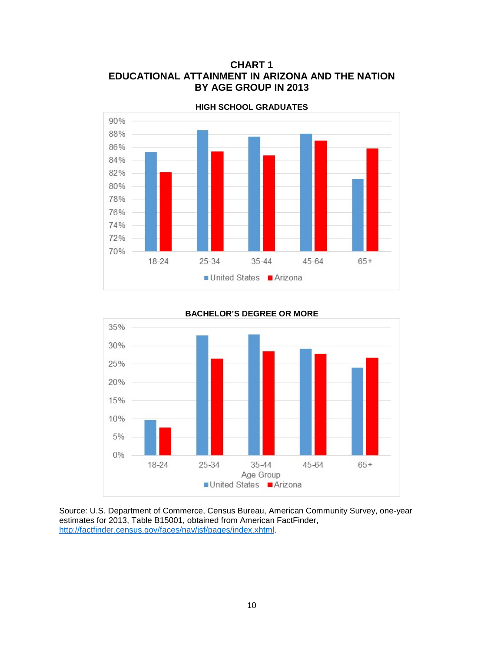## **CHART 1 EDUCATIONAL ATTAINMENT IN ARIZONA AND THE NATION BY AGE GROUP IN 2013**



**HIGH SCHOOL GRADUATES**



#### **BACHELOR'S DEGREE OR MORE**

Source: U.S. Department of Commerce, Census Bureau, American Community Survey, one-year estimates for 2013, Table B15001, obtained from American FactFinder, [http://factfinder.census.gov/faces/nav/jsf/pages/index.xhtml.](http://factfinder.census.gov/faces/nav/jsf/pages/index.xhtml)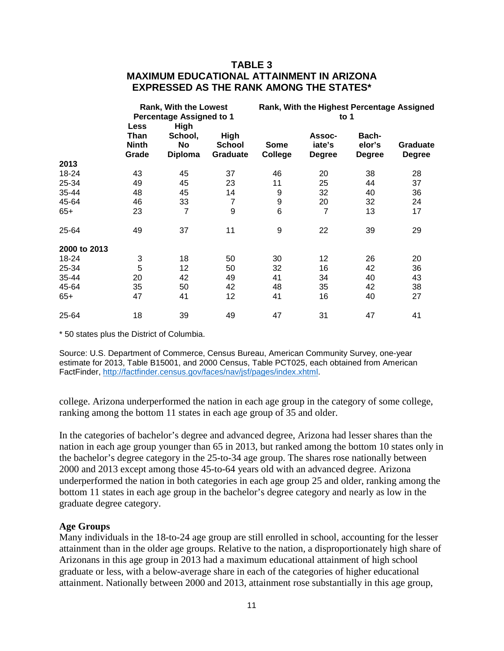## **TABLE 3 MAXIMUM EDUCATIONAL ATTAINMENT IN ARIZONA EXPRESSED AS THE RANK AMONG THE STATES\***

|              | <b>Rank, With the Lowest</b><br><b>Percentage Assigned to 1</b> |                                         |                                          | Rank, With the Highest Percentage Assigned<br>to $1$ |                                   |                                  |                                  |
|--------------|-----------------------------------------------------------------|-----------------------------------------|------------------------------------------|------------------------------------------------------|-----------------------------------|----------------------------------|----------------------------------|
|              | <b>Less</b><br><b>Than</b><br><b>Ninth</b><br>Grade             | High<br>School,<br>No<br><b>Diploma</b> | <b>High</b><br><b>School</b><br>Graduate | <b>Some</b><br>College                               | Assoc-<br>iate's<br><b>Degree</b> | Bach-<br>elor's<br><b>Degree</b> | <b>Graduate</b><br><b>Degree</b> |
| 2013         |                                                                 |                                         |                                          |                                                      |                                   |                                  |                                  |
| 18-24        | 43                                                              | 45                                      | 37                                       | 46                                                   | 20                                | 38                               | 28                               |
| 25-34        | 49                                                              | 45                                      | 23                                       | 11                                                   | 25                                | 44                               | 37                               |
| 35-44        | 48                                                              | 45                                      | 14                                       | 9                                                    | 32                                | 40                               | 36                               |
| 45-64        | 46                                                              | 33                                      | $\overline{7}$                           | 9                                                    | 20                                | 32                               | 24                               |
| $65+$        | 23                                                              | 7                                       | $9$                                      | 6                                                    | $\overline{7}$                    | 13                               | 17                               |
| 25-64        | 49                                                              | 37                                      | 11                                       | 9                                                    | 22                                | 39                               | 29                               |
| 2000 to 2013 |                                                                 |                                         |                                          |                                                      |                                   |                                  |                                  |
| 18-24        | 3                                                               | 18                                      | 50                                       | 30                                                   | 12                                | 26                               | 20                               |
| 25-34        | 5                                                               | 12                                      | 50                                       | 32                                                   | 16                                | 42                               | 36                               |
| 35-44        | 20                                                              | 42                                      | 49                                       | 41                                                   | 34                                | 40                               | 43                               |
| 45-64        | 35                                                              | 50                                      | 42                                       | 48                                                   | 35                                | 42                               | 38                               |
| $65+$        | 47                                                              | 41                                      | 12                                       | 41                                                   | 16                                | 40                               | 27                               |
| 25-64        | 18                                                              | 39                                      | 49                                       | 47                                                   | 31                                | 47                               | 41                               |

\* 50 states plus the District of Columbia.

Source: U.S. Department of Commerce, Census Bureau, American Community Survey, one-year estimate for 2013, Table B15001, and 2000 Census, Table PCT025, each obtained from American FactFinder, [http://factfinder.census.gov/faces/nav/jsf/pages/index.xhtml.](http://factfinder.census.gov/faces/nav/jsf/pages/index.xhtml)

college. Arizona underperformed the nation in each age group in the category of some college, ranking among the bottom 11 states in each age group of 35 and older.

In the categories of bachelor's degree and advanced degree, Arizona had lesser shares than the nation in each age group younger than 65 in 2013, but ranked among the bottom 10 states only in the bachelor's degree category in the 25-to-34 age group. The shares rose nationally between 2000 and 2013 except among those 45-to-64 years old with an advanced degree. Arizona underperformed the nation in both categories in each age group 25 and older, ranking among the bottom 11 states in each age group in the bachelor's degree category and nearly as low in the graduate degree category.

#### **Age Groups**

Many individuals in the 18-to-24 age group are still enrolled in school, accounting for the lesser attainment than in the older age groups. Relative to the nation, a disproportionately high share of Arizonans in this age group in 2013 had a maximum educational attainment of high school graduate or less, with a below-average share in each of the categories of higher educational attainment. Nationally between 2000 and 2013, attainment rose substantially in this age group,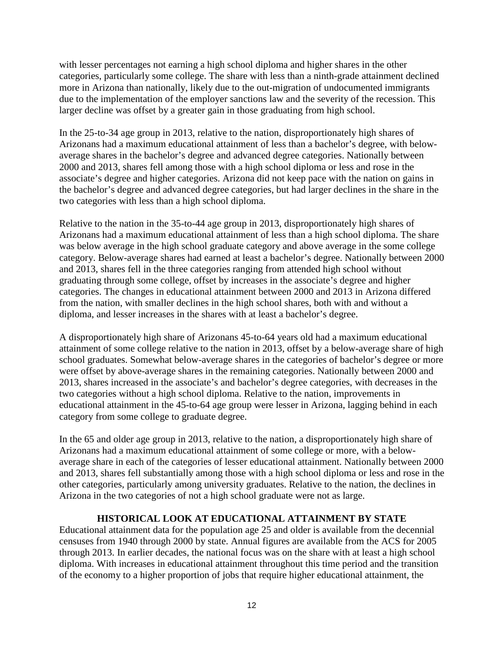with lesser percentages not earning a high school diploma and higher shares in the other categories, particularly some college. The share with less than a ninth-grade attainment declined more in Arizona than nationally, likely due to the out-migration of undocumented immigrants due to the implementation of the employer sanctions law and the severity of the recession. This larger decline was offset by a greater gain in those graduating from high school.

In the 25-to-34 age group in 2013, relative to the nation, disproportionately high shares of Arizonans had a maximum educational attainment of less than a bachelor's degree, with belowaverage shares in the bachelor's degree and advanced degree categories. Nationally between 2000 and 2013, shares fell among those with a high school diploma or less and rose in the associate's degree and higher categories. Arizona did not keep pace with the nation on gains in the bachelor's degree and advanced degree categories, but had larger declines in the share in the two categories with less than a high school diploma.

Relative to the nation in the 35-to-44 age group in 2013, disproportionately high shares of Arizonans had a maximum educational attainment of less than a high school diploma. The share was below average in the high school graduate category and above average in the some college category. Below-average shares had earned at least a bachelor's degree. Nationally between 2000 and 2013, shares fell in the three categories ranging from attended high school without graduating through some college, offset by increases in the associate's degree and higher categories. The changes in educational attainment between 2000 and 2013 in Arizona differed from the nation, with smaller declines in the high school shares, both with and without a diploma, and lesser increases in the shares with at least a bachelor's degree.

A disproportionately high share of Arizonans 45-to-64 years old had a maximum educational attainment of some college relative to the nation in 2013, offset by a below-average share of high school graduates. Somewhat below-average shares in the categories of bachelor's degree or more were offset by above-average shares in the remaining categories. Nationally between 2000 and 2013, shares increased in the associate's and bachelor's degree categories, with decreases in the two categories without a high school diploma. Relative to the nation, improvements in educational attainment in the 45-to-64 age group were lesser in Arizona, lagging behind in each category from some college to graduate degree.

In the 65 and older age group in 2013, relative to the nation, a disproportionately high share of Arizonans had a maximum educational attainment of some college or more, with a belowaverage share in each of the categories of lesser educational attainment. Nationally between 2000 and 2013, shares fell substantially among those with a high school diploma or less and rose in the other categories, particularly among university graduates. Relative to the nation, the declines in Arizona in the two categories of not a high school graduate were not as large.

## **HISTORICAL LOOK AT EDUCATIONAL ATTAINMENT BY STATE**

Educational attainment data for the population age 25 and older is available from the decennial censuses from 1940 through 2000 by state. Annual figures are available from the ACS for 2005 through 2013. In earlier decades, the national focus was on the share with at least a high school diploma. With increases in educational attainment throughout this time period and the transition of the economy to a higher proportion of jobs that require higher educational attainment, the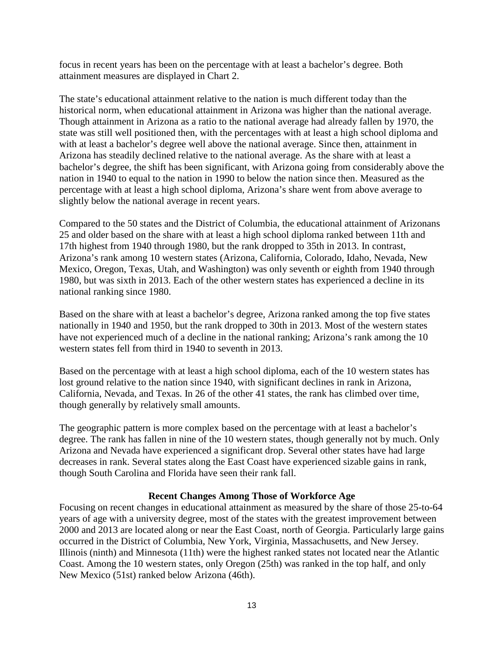focus in recent years has been on the percentage with at least a bachelor's degree. Both attainment measures are displayed in Chart 2.

The state's educational attainment relative to the nation is much different today than the historical norm, when educational attainment in Arizona was higher than the national average. Though attainment in Arizona as a ratio to the national average had already fallen by 1970, the state was still well positioned then, with the percentages with at least a high school diploma and with at least a bachelor's degree well above the national average. Since then, attainment in Arizona has steadily declined relative to the national average. As the share with at least a bachelor's degree, the shift has been significant, with Arizona going from considerably above the nation in 1940 to equal to the nation in 1990 to below the nation since then. Measured as the percentage with at least a high school diploma, Arizona's share went from above average to slightly below the national average in recent years.

Compared to the 50 states and the District of Columbia, the educational attainment of Arizonans 25 and older based on the share with at least a high school diploma ranked between 11th and 17th highest from 1940 through 1980, but the rank dropped to 35th in 2013. In contrast, Arizona's rank among 10 western states (Arizona, California, Colorado, Idaho, Nevada, New Mexico, Oregon, Texas, Utah, and Washington) was only seventh or eighth from 1940 through 1980, but was sixth in 2013. Each of the other western states has experienced a decline in its national ranking since 1980.

Based on the share with at least a bachelor's degree, Arizona ranked among the top five states nationally in 1940 and 1950, but the rank dropped to 30th in 2013. Most of the western states have not experienced much of a decline in the national ranking; Arizona's rank among the 10 western states fell from third in 1940 to seventh in 2013.

Based on the percentage with at least a high school diploma, each of the 10 western states has lost ground relative to the nation since 1940, with significant declines in rank in Arizona, California, Nevada, and Texas. In 26 of the other 41 states, the rank has climbed over time, though generally by relatively small amounts.

The geographic pattern is more complex based on the percentage with at least a bachelor's degree. The rank has fallen in nine of the 10 western states, though generally not by much. Only Arizona and Nevada have experienced a significant drop. Several other states have had large decreases in rank. Several states along the East Coast have experienced sizable gains in rank, though South Carolina and Florida have seen their rank fall.

#### **Recent Changes Among Those of Workforce Age**

Focusing on recent changes in educational attainment as measured by the share of those 25-to-64 years of age with a university degree, most of the states with the greatest improvement between 2000 and 2013 are located along or near the East Coast, north of Georgia. Particularly large gains occurred in the District of Columbia, New York, Virginia, Massachusetts, and New Jersey. Illinois (ninth) and Minnesota (11th) were the highest ranked states not located near the Atlantic Coast. Among the 10 western states, only Oregon (25th) was ranked in the top half, and only New Mexico (51st) ranked below Arizona (46th).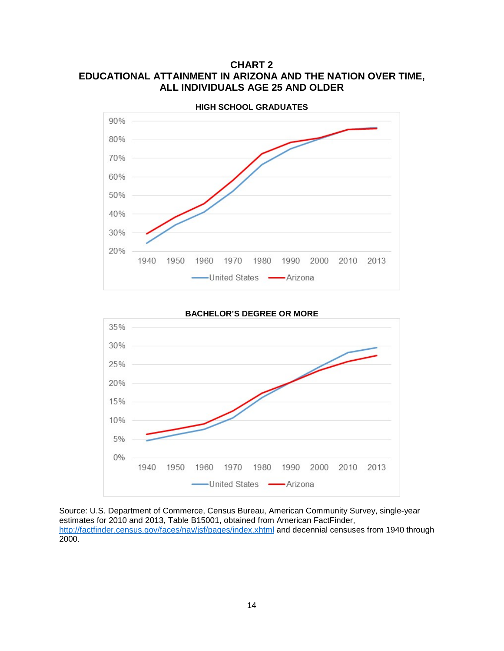## **CHART 2 EDUCATIONAL ATTAINMENT IN ARIZONA AND THE NATION OVER TIME, ALL INDIVIDUALS AGE 25 AND OLDER**



**BACHELOR'S DEGREE OR MORE**



Source: U.S. Department of Commerce, Census Bureau, American Community Survey, single-year estimates for 2010 and 2013, Table B15001, obtained from American FactFinder, <http://factfinder.census.gov/faces/nav/jsf/pages/index.xhtml> and decennial censuses from 1940 through 2000.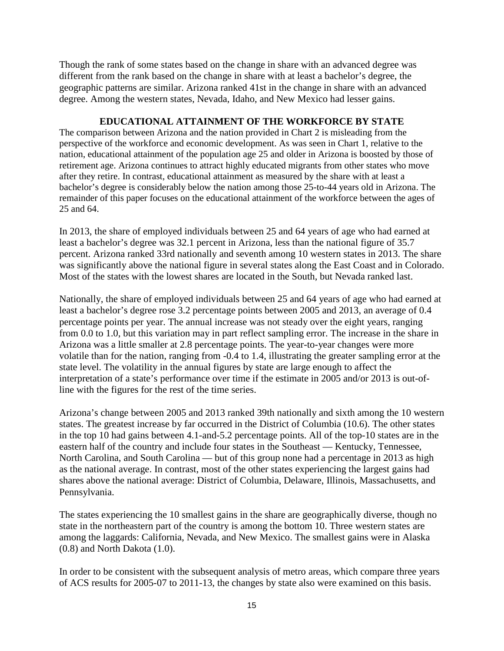Though the rank of some states based on the change in share with an advanced degree was different from the rank based on the change in share with at least a bachelor's degree, the geographic patterns are similar. Arizona ranked 41st in the change in share with an advanced degree. Among the western states, Nevada, Idaho, and New Mexico had lesser gains.

#### **EDUCATIONAL ATTAINMENT OF THE WORKFORCE BY STATE**

The comparison between Arizona and the nation provided in Chart 2 is misleading from the perspective of the workforce and economic development. As was seen in Chart 1, relative to the nation, educational attainment of the population age 25 and older in Arizona is boosted by those of retirement age. Arizona continues to attract highly educated migrants from other states who move after they retire. In contrast, educational attainment as measured by the share with at least a bachelor's degree is considerably below the nation among those 25-to-44 years old in Arizona. The remainder of this paper focuses on the educational attainment of the workforce between the ages of 25 and 64.

In 2013, the share of employed individuals between 25 and 64 years of age who had earned at least a bachelor's degree was 32.1 percent in Arizona, less than the national figure of 35.7 percent. Arizona ranked 33rd nationally and seventh among 10 western states in 2013. The share was significantly above the national figure in several states along the East Coast and in Colorado. Most of the states with the lowest shares are located in the South, but Nevada ranked last.

Nationally, the share of employed individuals between 25 and 64 years of age who had earned at least a bachelor's degree rose 3.2 percentage points between 2005 and 2013, an average of 0.4 percentage points per year. The annual increase was not steady over the eight years, ranging from 0.0 to 1.0, but this variation may in part reflect sampling error. The increase in the share in Arizona was a little smaller at 2.8 percentage points. The year-to-year changes were more volatile than for the nation, ranging from -0.4 to 1.4, illustrating the greater sampling error at the state level. The volatility in the annual figures by state are large enough to affect the interpretation of a state's performance over time if the estimate in 2005 and/or 2013 is out-ofline with the figures for the rest of the time series.

Arizona's change between 2005 and 2013 ranked 39th nationally and sixth among the 10 western states. The greatest increase by far occurred in the District of Columbia (10.6). The other states in the top 10 had gains between 4.1-and-5.2 percentage points. All of the top-10 states are in the eastern half of the country and include four states in the Southeast — Kentucky, Tennessee, North Carolina, and South Carolina — but of this group none had a percentage in 2013 as high as the national average. In contrast, most of the other states experiencing the largest gains had shares above the national average: District of Columbia, Delaware, Illinois, Massachusetts, and Pennsylvania.

The states experiencing the 10 smallest gains in the share are geographically diverse, though no state in the northeastern part of the country is among the bottom 10. Three western states are among the laggards: California, Nevada, and New Mexico. The smallest gains were in Alaska (0.8) and North Dakota (1.0).

In order to be consistent with the subsequent analysis of metro areas, which compare three years of ACS results for 2005-07 to 2011-13, the changes by state also were examined on this basis.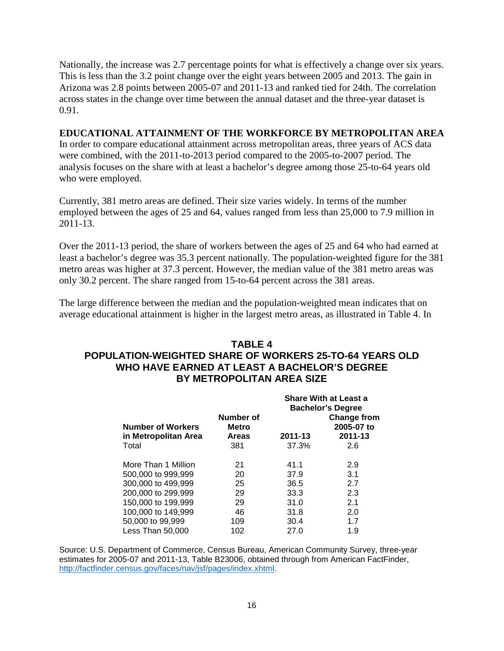Nationally, the increase was 2.7 percentage points for what is effectively a change over six years. This is less than the 3.2 point change over the eight years between 2005 and 2013. The gain in Arizona was 2.8 points between 2005-07 and 2011-13 and ranked tied for 24th. The correlation across states in the change over time between the annual dataset and the three-year dataset is 0.91.

#### **EDUCATIONAL ATTAINMENT OF THE WORKFORCE BY METROPOLITAN AREA**

In order to compare educational attainment across metropolitan areas, three years of ACS data were combined, with the 2011-to-2013 period compared to the 2005-to-2007 period. The analysis focuses on the share with at least a bachelor's degree among those 25-to-64 years old who were employed.

Currently, 381 metro areas are defined. Their size varies widely. In terms of the number employed between the ages of 25 and 64, values ranged from less than 25,000 to 7.9 million in 2011-13.

Over the 2011-13 period, the share of workers between the ages of 25 and 64 who had earned at least a bachelor's degree was 35.3 percent nationally. The population-weighted figure for the 381 metro areas was higher at 37.3 percent. However, the median value of the 381 metro areas was only 30.2 percent. The share ranged from 15-to-64 percent across the 381 areas.

The large difference between the median and the population-weighted mean indicates that on average educational attainment is higher in the largest metro areas, as illustrated in Table 4. In

## **TABLE 4**

## **POPULATION-WEIGHTED SHARE OF WORKERS 25-TO-64 YEARS OLD WHO HAVE EARNED AT LEAST A BACHELOR'S DEGREE BY METROPOLITAN AREA SIZE**

|                                                  |                                           | <b>Share With at Least a</b><br><b>Bachelor's Degree</b> |                                      |  |  |
|--------------------------------------------------|-------------------------------------------|----------------------------------------------------------|--------------------------------------|--|--|
| <b>Number of Workers</b><br>in Metropolitan Area | Number of<br><b>Metro</b><br><b>Areas</b> | 2011-13                                                  | Change from<br>2005-07 to<br>2011-13 |  |  |
| Total                                            | 381                                       | 37.3%                                                    | 2.6                                  |  |  |
| More Than 1 Million                              | 21                                        | 41.1                                                     | 2.9                                  |  |  |
| 500,000 to 999,999                               | 20                                        | 37.9                                                     | 3.1                                  |  |  |
| 300,000 to 499,999                               | 25                                        | 36.5                                                     | 2.7                                  |  |  |
| 200,000 to 299,999                               | 29                                        | 33.3                                                     | 2.3                                  |  |  |
| 150,000 to 199,999                               | 29                                        | 31.0                                                     | 2.1                                  |  |  |
| 100,000 to 149,999                               | 46                                        | 31.8                                                     | 2.0                                  |  |  |
| 50,000 to 99,999                                 | 109                                       | 30.4                                                     | 1.7                                  |  |  |
| Less Than 50,000                                 | 102                                       | 27.0                                                     | 1.9                                  |  |  |

Source: U.S. Department of Commerce, Census Bureau, American Community Survey, three-year estimates for 2005-07 and 2011-13, Table B23006, obtained through from American FactFinder, [http://factfinder.census.gov/faces/nav/jsf/pages/index.xhtml.](http://factfinder.census.gov/faces/nav/jsf/pages/index.xhtml)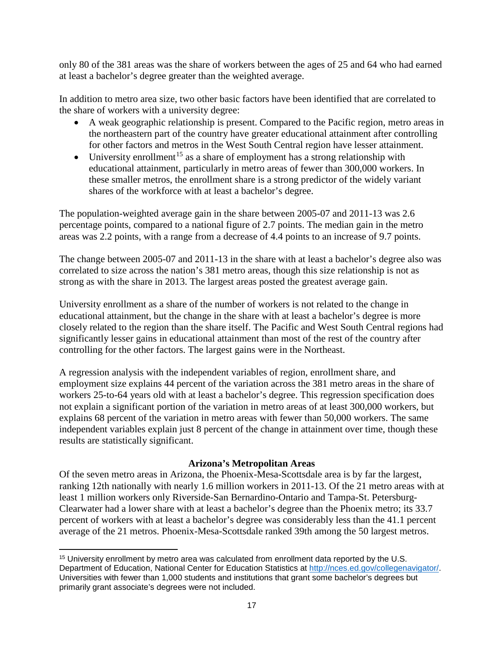only 80 of the 381 areas was the share of workers between the ages of 25 and 64 who had earned at least a bachelor's degree greater than the weighted average.

In addition to metro area size, two other basic factors have been identified that are correlated to the share of workers with a university degree:

- A weak geographic relationship is present. Compared to the Pacific region, metro areas in the northeastern part of the country have greater educational attainment after controlling for other factors and metros in the West South Central region have lesser attainment.
- University enrollment<sup>[15](#page-18-0)</sup> as a share of employment has a strong relationship with educational attainment, particularly in metro areas of fewer than 300,000 workers. In these smaller metros, the enrollment share is a strong predictor of the widely variant shares of the workforce with at least a bachelor's degree.

The population-weighted average gain in the share between 2005-07 and 2011-13 was 2.6 percentage points, compared to a national figure of 2.7 points. The median gain in the metro areas was 2.2 points, with a range from a decrease of 4.4 points to an increase of 9.7 points.

The change between 2005-07 and 2011-13 in the share with at least a bachelor's degree also was correlated to size across the nation's 381 metro areas, though this size relationship is not as strong as with the share in 2013. The largest areas posted the greatest average gain.

University enrollment as a share of the number of workers is not related to the change in educational attainment, but the change in the share with at least a bachelor's degree is more closely related to the region than the share itself. The Pacific and West South Central regions had significantly lesser gains in educational attainment than most of the rest of the country after controlling for the other factors. The largest gains were in the Northeast.

A regression analysis with the independent variables of region, enrollment share, and employment size explains 44 percent of the variation across the 381 metro areas in the share of workers 25-to-64 years old with at least a bachelor's degree. This regression specification does not explain a significant portion of the variation in metro areas of at least 300,000 workers, but explains 68 percent of the variation in metro areas with fewer than 50,000 workers. The same independent variables explain just 8 percent of the change in attainment over time, though these results are statistically significant.

## **Arizona's Metropolitan Areas**

Of the seven metro areas in Arizona, the Phoenix-Mesa-Scottsdale area is by far the largest, ranking 12th nationally with nearly 1.6 million workers in 2011-13. Of the 21 metro areas with at least 1 million workers only Riverside-San Bernardino-Ontario and Tampa-St. Petersburg-Clearwater had a lower share with at least a bachelor's degree than the Phoenix metro; its 33.7 percent of workers with at least a bachelor's degree was considerably less than the 41.1 percent average of the 21 metros. Phoenix-Mesa-Scottsdale ranked 39th among the 50 largest metros.

l

<span id="page-18-0"></span><sup>15</sup> University enrollment by metro area was calculated from enrollment data reported by the U.S. Department of Education, National Center for Education Statistics at [http://nces.ed.gov/collegenavigator/.](http://nces.ed.gov/collegenavigator/) Universities with fewer than 1,000 students and institutions that grant some bachelor's degrees but primarily grant associate's degrees were not included.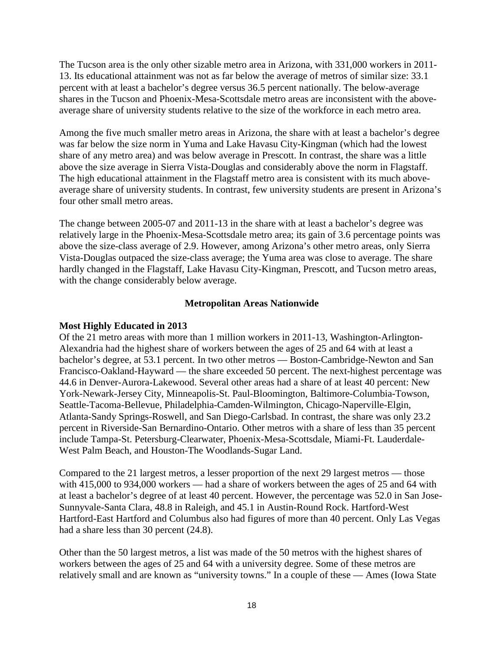The Tucson area is the only other sizable metro area in Arizona, with 331,000 workers in 2011- 13. Its educational attainment was not as far below the average of metros of similar size: 33.1 percent with at least a bachelor's degree versus 36.5 percent nationally. The below-average shares in the Tucson and Phoenix-Mesa-Scottsdale metro areas are inconsistent with the aboveaverage share of university students relative to the size of the workforce in each metro area.

Among the five much smaller metro areas in Arizona, the share with at least a bachelor's degree was far below the size norm in Yuma and Lake Havasu City-Kingman (which had the lowest share of any metro area) and was below average in Prescott. In contrast, the share was a little above the size average in Sierra Vista-Douglas and considerably above the norm in Flagstaff. The high educational attainment in the Flagstaff metro area is consistent with its much aboveaverage share of university students. In contrast, few university students are present in Arizona's four other small metro areas.

The change between 2005-07 and 2011-13 in the share with at least a bachelor's degree was relatively large in the Phoenix-Mesa-Scottsdale metro area; its gain of 3.6 percentage points was above the size-class average of 2.9. However, among Arizona's other metro areas, only Sierra Vista-Douglas outpaced the size-class average; the Yuma area was close to average. The share hardly changed in the Flagstaff, Lake Havasu City-Kingman, Prescott, and Tucson metro areas, with the change considerably below average.

#### **Metropolitan Areas Nationwide**

#### **Most Highly Educated in 2013**

Of the 21 metro areas with more than 1 million workers in 2011-13, Washington-Arlington-Alexandria had the highest share of workers between the ages of 25 and 64 with at least a bachelor's degree, at 53.1 percent. In two other metros — Boston-Cambridge-Newton and San Francisco-Oakland-Hayward — the share exceeded 50 percent. The next-highest percentage was 44.6 in Denver-Aurora-Lakewood. Several other areas had a share of at least 40 percent: New York-Newark-Jersey City, Minneapolis-St. Paul-Bloomington, Baltimore-Columbia-Towson, Seattle-Tacoma-Bellevue, Philadelphia-Camden-Wilmington, Chicago-Naperville-Elgin, Atlanta-Sandy Springs-Roswell, and San Diego-Carlsbad. In contrast, the share was only 23.2 percent in Riverside-San Bernardino-Ontario. Other metros with a share of less than 35 percent include Tampa-St. Petersburg-Clearwater, Phoenix-Mesa-Scottsdale, Miami-Ft. Lauderdale-West Palm Beach, and Houston-The Woodlands-Sugar Land.

Compared to the 21 largest metros, a lesser proportion of the next 29 largest metros — those with 415,000 to 934,000 workers — had a share of workers between the ages of 25 and 64 with at least a bachelor's degree of at least 40 percent. However, the percentage was 52.0 in San Jose-Sunnyvale-Santa Clara, 48.8 in Raleigh, and 45.1 in Austin-Round Rock. Hartford-West Hartford-East Hartford and Columbus also had figures of more than 40 percent. Only Las Vegas had a share less than 30 percent (24.8).

Other than the 50 largest metros, a list was made of the 50 metros with the highest shares of workers between the ages of 25 and 64 with a university degree. Some of these metros are relatively small and are known as "university towns." In a couple of these — Ames (Iowa State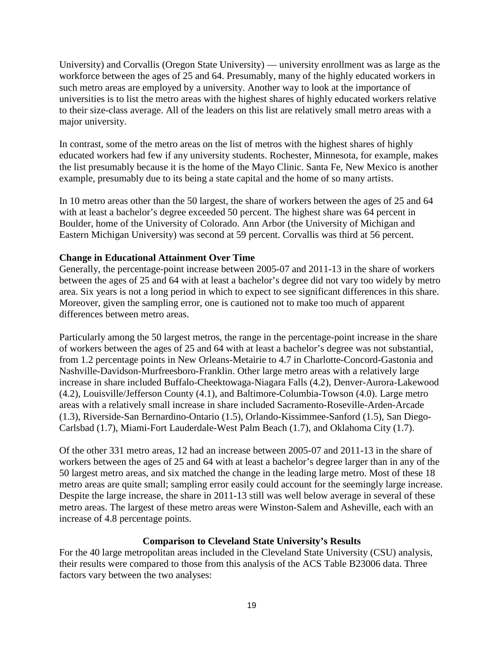University) and Corvallis (Oregon State University) — university enrollment was as large as the workforce between the ages of 25 and 64. Presumably, many of the highly educated workers in such metro areas are employed by a university. Another way to look at the importance of universities is to list the metro areas with the highest shares of highly educated workers relative to their size-class average. All of the leaders on this list are relatively small metro areas with a major university.

In contrast, some of the metro areas on the list of metros with the highest shares of highly educated workers had few if any university students. Rochester, Minnesota, for example, makes the list presumably because it is the home of the Mayo Clinic. Santa Fe, New Mexico is another example, presumably due to its being a state capital and the home of so many artists.

In 10 metro areas other than the 50 largest, the share of workers between the ages of 25 and 64 with at least a bachelor's degree exceeded 50 percent. The highest share was 64 percent in Boulder, home of the University of Colorado. Ann Arbor (the University of Michigan and Eastern Michigan University) was second at 59 percent. Corvallis was third at 56 percent.

#### **Change in Educational Attainment Over Time**

Generally, the percentage-point increase between 2005-07 and 2011-13 in the share of workers between the ages of 25 and 64 with at least a bachelor's degree did not vary too widely by metro area. Six years is not a long period in which to expect to see significant differences in this share. Moreover, given the sampling error, one is cautioned not to make too much of apparent differences between metro areas.

Particularly among the 50 largest metros, the range in the percentage-point increase in the share of workers between the ages of 25 and 64 with at least a bachelor's degree was not substantial, from 1.2 percentage points in New Orleans-Metairie to 4.7 in Charlotte-Concord-Gastonia and Nashville-Davidson-Murfreesboro-Franklin. Other large metro areas with a relatively large increase in share included Buffalo-Cheektowaga-Niagara Falls (4.2), Denver-Aurora-Lakewood (4.2), Louisville/Jefferson County (4.1), and Baltimore-Columbia-Towson (4.0). Large metro areas with a relatively small increase in share included Sacramento-Roseville-Arden-Arcade (1.3), Riverside-San Bernardino-Ontario (1.5), Orlando-Kissimmee-Sanford (1.5), San Diego-Carlsbad (1.7), Miami-Fort Lauderdale-West Palm Beach (1.7), and Oklahoma City (1.7).

Of the other 331 metro areas, 12 had an increase between 2005-07 and 2011-13 in the share of workers between the ages of 25 and 64 with at least a bachelor's degree larger than in any of the 50 largest metro areas, and six matched the change in the leading large metro. Most of these 18 metro areas are quite small; sampling error easily could account for the seemingly large increase. Despite the large increase, the share in 2011-13 still was well below average in several of these metro areas. The largest of these metro areas were Winston-Salem and Asheville, each with an increase of 4.8 percentage points.

#### **Comparison to Cleveland State University's Results**

For the 40 large metropolitan areas included in the Cleveland State University (CSU) analysis, their results were compared to those from this analysis of the ACS Table B23006 data. Three factors vary between the two analyses: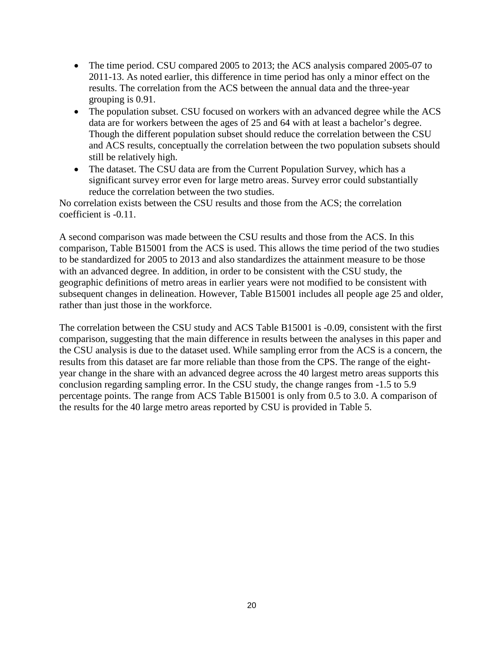- The time period. CSU compared 2005 to 2013; the ACS analysis compared 2005-07 to 2011-13. As noted earlier, this difference in time period has only a minor effect on the results. The correlation from the ACS between the annual data and the three-year grouping is 0.91.
- The population subset. CSU focused on workers with an advanced degree while the ACS data are for workers between the ages of 25 and 64 with at least a bachelor's degree. Though the different population subset should reduce the correlation between the CSU and ACS results, conceptually the correlation between the two population subsets should still be relatively high.
- The dataset. The CSU data are from the Current Population Survey, which has a significant survey error even for large metro areas. Survey error could substantially reduce the correlation between the two studies.

No correlation exists between the CSU results and those from the ACS; the correlation coefficient is -0.11.

A second comparison was made between the CSU results and those from the ACS. In this comparison, Table B15001 from the ACS is used. This allows the time period of the two studies to be standardized for 2005 to 2013 and also standardizes the attainment measure to be those with an advanced degree. In addition, in order to be consistent with the CSU study, the geographic definitions of metro areas in earlier years were not modified to be consistent with subsequent changes in delineation. However, Table B15001 includes all people age 25 and older, rather than just those in the workforce.

The correlation between the CSU study and ACS Table B15001 is -0.09, consistent with the first comparison, suggesting that the main difference in results between the analyses in this paper and the CSU analysis is due to the dataset used. While sampling error from the ACS is a concern, the results from this dataset are far more reliable than those from the CPS. The range of the eightyear change in the share with an advanced degree across the 40 largest metro areas supports this conclusion regarding sampling error. In the CSU study, the change ranges from -1.5 to 5.9 percentage points. The range from ACS Table B15001 is only from 0.5 to 3.0. A comparison of the results for the 40 large metro areas reported by CSU is provided in Table 5.